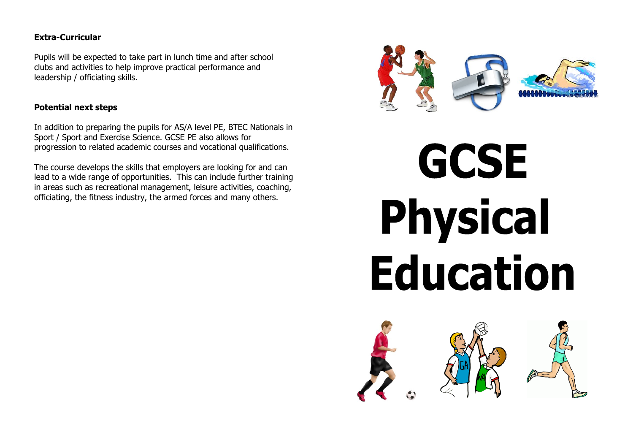# **Extra-Curricular**

Pupils will be expected to take part in lunch time and after school clubs and activities to help improve practical performance and leadership / officiating skills.

# **Potential next steps**

In addition to preparing the pupils for AS/A level PE, BTEC Nationals in Sport / Sport and Exercise Science. GCSE PE also allows for progression to related academic courses and vocational qualifications.

The course develops the skills that employers are looking for and can lead to a wide range of opportunities. This can include further training in areas such as recreational management, leisure activities, coaching, officiating, the fitness industry, the armed forces and many others.



# **GCSE Physical Education**